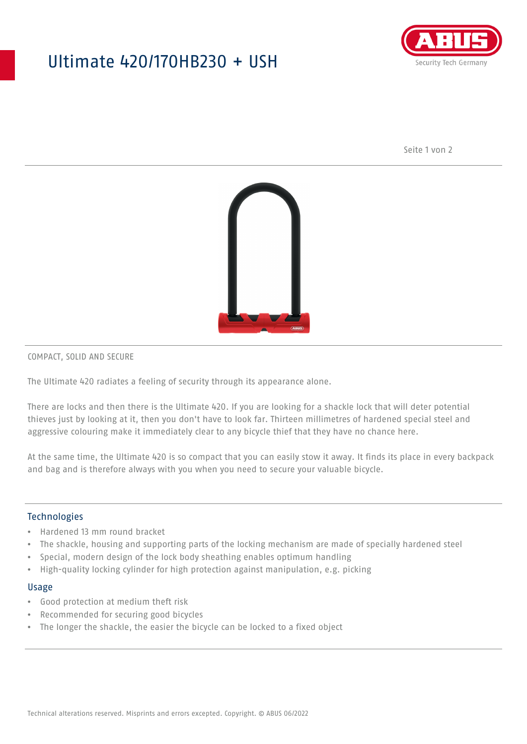## Ultimate 420/170HB230 + USH



Seite 1 von 2



#### COMPACT, SOLID AND SECURE

The Ultimate 420 radiates a feeling of security through its appearance alone.

There are locks and then there is the Ultimate 420. If you are looking for a shackle lock that will deter potential thieves just by looking at it, then you don't have to look far. Thirteen millimetres of hardened special steel and aggressive colouring make it immediately clear to any bicycle thief that they have no chance here.

At the same time, the Ultimate 420 is so compact that you can easily stow it away. It finds its place in every backpack and bag and is therefore always with you when you need to secure your valuable bicycle.

### Technologies

- Hardened 13 mm round bracket
- The shackle, housing and supporting parts of the locking mechanism are made of specially hardened steel
- Special, modern design of the lock body sheathing enables optimum handling
- High-quality locking cylinder for high protection against manipulation, e.g. picking

#### Usage

- Good protection at medium theft risk
- Recommended for securing good bicycles
- The longer the shackle, the easier the bicycle can be locked to a fixed object